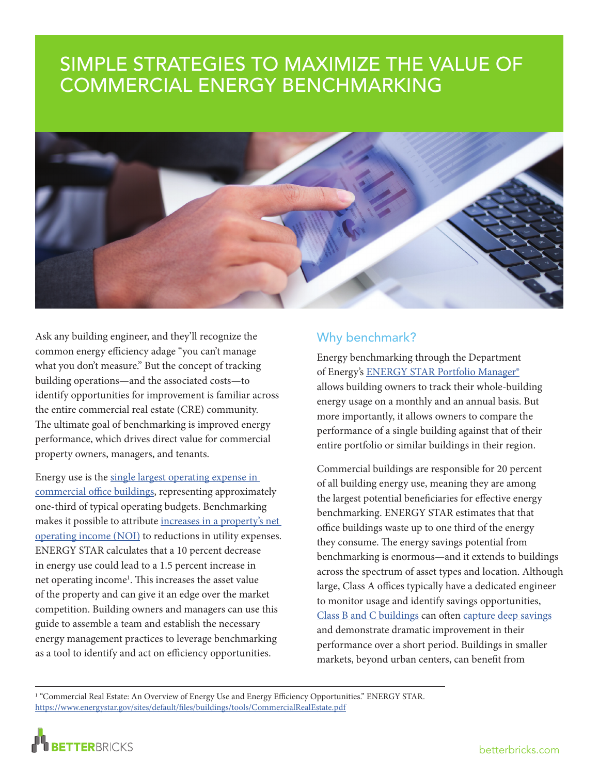## SIMPLE STRATEGIES TO MAXIMIZE THE VALUE OF COMMERCIAL ENERGY BENCHMARKING



Ask any building engineer, and they'll recognize the common energy efficiency adage "you can't manage what you don't measure." But the concept of tracking building operations—and the associated costs—to identify opportunities for improvement is familiar across the entire commercial real estate (CRE) community. The ultimate goal of benchmarking is improved energy performance, which drives direct value for commercial property owners, managers, and tenants.

Energy use is the [single largest operating expense in](https://www.energystar.gov/sites/default/files/buildings/tools/CommercialRealEstate.pdf)  [commercial office buildings,](https://www.energystar.gov/sites/default/files/buildings/tools/CommercialRealEstate.pdf) representing approximately one-third of typical operating budgets. Benchmarking makes it possible to attribute [increases in a property's net](http://betterbricks.com/articles/tailoring-business-case-efficiency-fit-your-capital-budget)  [operating income \(NOI\)](http://betterbricks.com/articles/tailoring-business-case-efficiency-fit-your-capital-budget) to reductions in utility expenses. ENERGY STAR calculates that a 10 percent decrease in energy use could lead to a 1.5 percent increase in net operating income<sup>1</sup>. This increases the asset value of the property and can give it an edge over the market competition. Building owners and managers can use this guide to assemble a team and establish the necessary energy management practices to leverage benchmarking as a tool to identify and act on efficiency opportunities.

## Why benchmark?

Energy benchmarking through the Department of Energy's [ENERGY STAR Portfolio Manager®](https://www.energystar.gov/buildings/facility-owners-and-managers/existing-buildings/use-portfolio-manager) allows building owners to track their whole-building energy usage on a monthly and an annual basis. But more importantly, it allows owners to compare the performance of a single building against that of their entire portfolio or similar buildings in their region.

Commercial buildings are responsible for 20 percent of all building energy use, meaning they are among the largest potential beneficiaries for effective energy benchmarking. ENERGY STAR estimates that that office buildings waste up to one third of the energy they consume. The energy savings potential from benchmarking is enormous—and it extends to buildings across the spectrum of asset types and location. Although large, Class A offices typically have a dedicated engineer to monitor usage and identify savings opportunities, [Class B and C buildings](http://www.imt.org/resources/detail/valuing-energy-efficiency-in-office-buildings) can often [capture deep savings](https://buildingrenewal.org/what/case-studies) and demonstrate dramatic improvement in their performance over a short period. Buildings in smaller markets, beyond urban centers, can benefit from

1 "Commercial Real Estate: An Overview of Energy Use and Energy Efficiency Opportunities." ENERGY STAR. <https://www.energystar.gov/sites/default/files/buildings/tools/CommercialRealEstate.pdf>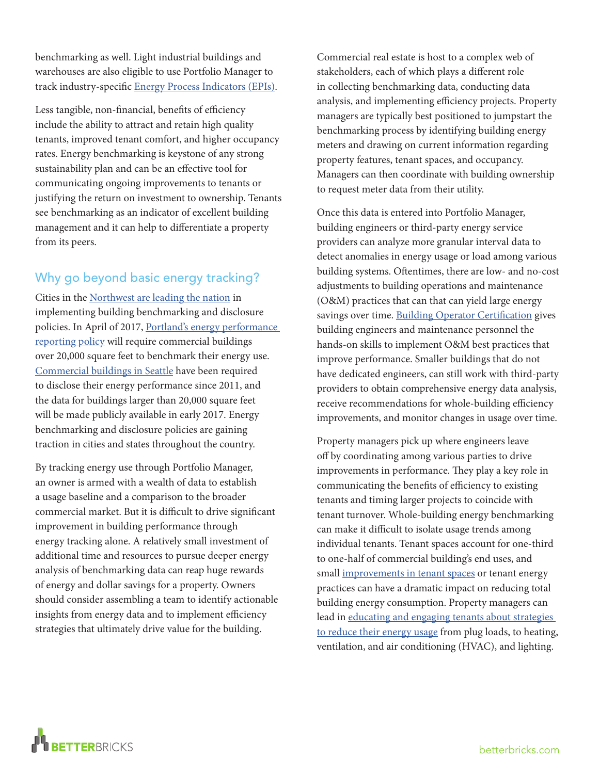benchmarking as well. Light industrial buildings and warehouses are also eligible to use Portfolio Manager to track industry-specific [Energy Process Indicators \(EPIs\)](https://www.energystar.gov/buildings/facility-owners-and-managers/industrial-plants/measure-track-and-benchmark/energy-star-energy).

Less tangible, non-financial, benefits of efficiency include the ability to attract and retain high quality tenants, improved tenant comfort, and higher occupancy rates. Energy benchmarking is keystone of any strong sustainability plan and can be an effective tool for communicating ongoing improvements to tenants or justifying the return on investment to ownership. Tenants see benchmarking as an indicator of excellent building management and it can help to differentiate a property from its peers.

## Why go beyond basic energy tracking?

Cities in the [Northwest are leading the nation](http://www.imt.org/resources/detail/map-u.s.-building-benchmarking-policies) in implementing building benchmarking and disclosure policies. In April of 2017, Portland's energy performance [reporting policy](https://www.portlandoregon.gov/bps/article/556895) will require commercial buildings over 20,000 square feet to benchmark their energy use. [Commercial buildings in Seattle](http://www.seattle.gov/environment/buildings-and-energy/energy-benchmarking-and-reporting/how-to-comply---disclosure) have been required to disclose their energy performance since 2011, and the data for buildings larger than 20,000 square feet will be made publicly available in early 2017. Energy benchmarking and disclosure policies are gaining traction in cities and states throughout the country.

By tracking energy use through Portfolio Manager, an owner is armed with a wealth of data to establish a usage baseline and a comparison to the broader commercial market. But it is difficult to drive significant improvement in building performance through energy tracking alone. A relatively small investment of additional time and resources to pursue deeper energy analysis of benchmarking data can reap huge rewards of energy and dollar savings for a property. Owners should consider assembling a team to identify actionable insights from energy data and to implement efficiency strategies that ultimately drive value for the building.

Commercial real estate is host to a complex web of stakeholders, each of which plays a different role in collecting benchmarking data, conducting data analysis, and implementing efficiency projects. Property managers are typically best positioned to jumpstart the benchmarking process by identifying building energy meters and drawing on current information regarding property features, tenant spaces, and occupancy. Managers can then coordinate with building ownership to request meter data from their utility.

Once this data is entered into Portfolio Manager, building engineers or third-party energy service providers can analyze more granular interval data to detect anomalies in energy usage or load among various building systems. Oftentimes, there are low- and no-cost adjustments to building operations and maintenance (O&M) practices that can that can yield large energy savings over time. [Building Operator Certification](http://www.theboc.info/) gives building engineers and maintenance personnel the hands-on skills to implement O&M best practices that improve performance. Smaller buildings that do not have dedicated engineers, can still work with third-party providers to obtain comprehensive energy data analysis, receive recommendations for whole-building efficiency improvements, and monitor changes in usage over time.

Property managers pick up where engineers leave off by coordinating among various parties to drive improvements in performance. They play a key role in communicating the benefits of efficiency to existing tenants and timing larger projects to coincide with tenant turnover. Whole-building energy benchmarking can make it difficult to isolate usage trends among individual tenants. Tenant spaces account for one-third to one-half of commercial building's end uses, and small [improvements in tenant spaces](http://www.seattle.gov/environment/buildings-and-energy/green-tenant-improvement-guides) or tenant energy practices can have a dramatic impact on reducing total building energy consumption. Property managers can lead in educating and engaging tenants about strategies [to reduce their energy usage](http://betterbricks.com/articles/exploring-opportunities-engage-your-tenants) from plug loads, to heating, ventilation, and air conditioning (HVAC), and lighting.